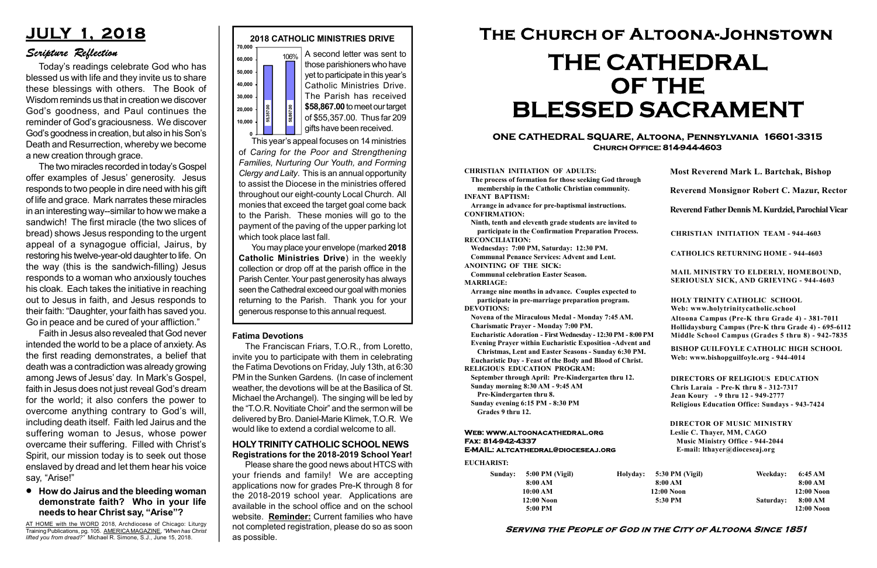#### Serving the People of God in the City of Altoona Since 1851

Sunday: 5:00 PM (Vigil) 8:00 AM 10:00 AM 12:00 Noon 5:00 PM

Holyday:

#### Web: www.altoonacathedral.org Fax: 814-942-4337 E-MAIL: altcathedral@dioceseaj.org

EUCHARIST:

#### CHRISTIAN INITIATION OF ADULTS:

The process of formation for those seeking God through membership in the Catholic Christian community. INFANT BAPTISM:

Arrange in advance for pre-baptismal instructions. CONFIRMATION:

Ninth, tenth and eleventh grade students are invited to participate in the Confirmation Preparation Process. RECONCILIATION:

Wednesday: 7:00 PM, Saturday: 12:30 PM. Communal Penance Services: Advent and Lent. ANOINTING OF THE SICK:

Communal celebration Easter Season.

MARRIAGE:

Arrange nine months in advance. Couples expected to participate in pre-marriage preparation program. DEVOTIONS:

Novena of the Miraculous Medal - Monday 7:45 AM. Charismatic Prayer - Monday 7:00 PM.

Eucharistic Adoration - First Wednesday - 12:30 PM - 8:00 PM

Evening Prayer within Eucharistic Exposition -Advent and

Christmas, Lent and Easter Seasons - Sunday 6:30 PM. Eucharistic Day - Feast of the Body and Blood of Christ.

|                       | <b>Most Reverend Mark L. Bartchak, Bishop</b><br>Reverend Monsignor Robert C. Mazur, Rector                                                                                     |           |                         |
|-----------------------|---------------------------------------------------------------------------------------------------------------------------------------------------------------------------------|-----------|-------------------------|
|                       |                                                                                                                                                                                 |           |                         |
|                       | Reverend Father Dennis M. Kurdziel, Parochial Vicar                                                                                                                             |           |                         |
|                       | <b>CHRISTIAN INITIATION TEAM - 944-4603</b>                                                                                                                                     |           |                         |
|                       | <b>CATHOLICS RETURNING HOME - 944-4603</b>                                                                                                                                      |           |                         |
|                       | MAIL MINISTRY TO ELDERLY, HOMEBOUND,<br>SERIOUSLY SICK, AND GRIEVING - 944-4603                                                                                                 |           |                         |
|                       | <b>HOLY TRINITY CATHOLIC SCHOOL</b><br>Web: www.holytrinitycatholic.school                                                                                                      |           |                         |
| М                     | Altoona Campus (Pre-K thru Grade 4) - 381-7011<br>Hollidaysburg Campus (Pre-K thru Grade 4) - 695-6112<br>Middle School Campus (Grades 5 thru 8) - 942-7835                     |           |                         |
| ł                     | <b>BISHOP GUILFOYLE CATHOLIC HIGH SCHOOL</b><br>Web: www.bishopguilfoyle.org - 944-4014                                                                                         |           |                         |
|                       | <b>DIRECTORS OF RELIGIOUS EDUCATION</b><br>Chris Laraia - Pre-K thru 8 - 312-7317<br>Jean Koury - 9 thru 12 - 949-2777<br><b>Religious Education Office: Sundays - 943-7424</b> |           |                         |
|                       | <b>DIRECTOR OF MUSIC MINISTRY</b><br>Leslie C. Thayer, MM, CAGO<br><b>Music Ministry Office - 944-2044</b><br>E-mail: lthayer@dioceseaj.org                                     |           |                         |
| 5:30 PM (Vigil)       |                                                                                                                                                                                 | Weekday:  | 6:45 AM                 |
| 8:00 AM<br>12:00 Noon |                                                                                                                                                                                 |           | 8:00 AM<br>12:00 Noon   |
| 5:30 PM               |                                                                                                                                                                                 | Saturday: | 8:00 AM<br>$12:00$ Noon |
|                       |                                                                                                                                                                                 |           |                         |

RELIGIOUS EDUCATION PROGRAM:

This year's appeal focuses on 14 ministries of Caring for the Poor and Strengthening Families, Nurturing Our Youth, and Forming Clergy and Laity. This is an annual opportunity to assist the Diocese in the ministries offered throughout our eight-county Local Church. All monies that exceed the target goal come back to the Parish. These monies will go to the payment of the paving of the upper parking lot which took place last fall.  $\begin{bmatrix}\n\text{R}_{\text{S}} \\
\text{S}} \\
\text{S}} \\
\text{S}} \\
\text{S}} \\
\text{S}} \\
\text{S}} \\
\text{S}} \\
\text{S}} \\
\text{S}} \\
\text{S}} \\
\text{S}} \\
\text{S}} \\
\text{S}} \\
\text{S}} \\
\text{S}} \\
\text{S}} \\
\text{S}} \\
\text{S}} \\
\text{S}} \\
\text{S}} \\
\text{S}} \\
\text{S}} \\
\text{S}} \\
\text{S}} \\
\text{S}} \\
\text{S}} \\
\text{S}} \\
\text{S}} \\
\text{S}} \\
\text{S}} \\
\text{S}} \\
\text{S}} \\
\text{S}} \\
\text{S$ 

> September through April: Pre-Kindergarten thru 12. Sunday morning 8:30 AM - 9:45 AM

Pre-Kindergarten thru 8.

Sunday evening 6:15 PM - 8:30 PM Grades 9 thru 12.



#### ONE CATHEDRAL SQUARE, Altoona, Pennsylvania 16601-3315 Church Office: 814-944-4603

# The Church of Altoona-Johnstown THE CATHEDRAL OF THE BLESSED SACRAMENT

A second letter was sent to those parishioners who have yet to participate in this year's Catholic Ministries Drive. The Parish has received \$58,867.00 to meet our target of \$55,357.00. Thus far 209 gifts have been received.

You may place your envelope (marked 2018 Catholic Ministries Drive) in the weekly collection or drop off at the parish office in the Parish Center. Your past generosity has always seen the Cathedral exceed our goal with monies returning to the Parish. Thank you for your

#### HOLY TRINITY CATHOLIC SCHOOL NEWS Registrations for the 2018-2019 School Year!

Please share the good news about HTCS with your friends and family! We are accepting applications now for grades Pre-K through 8 for the 2018-2019 school year. Applications are available in the school office and on the school website. Reminder: Current families who have not completed registration, please do so as soon as possible.

## JULY 1, 2018

#### Scripture Reflection

#### How do Jairus and the bleeding woman demonstrate faith? Who in your life needs to hear Christ say, "Arise"?

Today's readings celebrate God who has blessed us with life and they invite us to share these blessings with others. The Book of Wisdom reminds us that in creation we discover God's goodness, and Paul continues the reminder of God's graciousness. We discover God's goodness in creation, but also in his Son's Death and Resurrection, whereby we become a new creation through grace.

The two miracles recorded in today's Gospel offer examples of Jesus' generosity. Jesus responds to two people in dire need with his gift of life and grace. Mark narrates these miracles in an interesting way--similar to how we make a sandwich! The first miracle (the two slices of bread) shows Jesus responding to the urgent appeal of a synagogue official, Jairus, by restoring his twelve-year-old daughter to life. On the way (this is the sandwich-filling) Jesus responds to a woman who anxiously touches his cloak. Each takes the initiative in reaching out to Jesus in faith, and Jesus responds to their faith: "Daughter, your faith has saved you. Go in peace and be cured of your affliction."

Faith in Jesus also revealed that God never intended the world to be a place of anxiety. As the first reading demonstrates, a belief that death was a contradiction was already growing among Jews of Jesus' day. In Mark's Gospel, faith in Jesus does not just reveal God's dream for the world; it also confers the power to overcome anything contrary to God's will, including death itself. Faith led Jairus and the suffering woman to Jesus, whose power overcame their suffering. Filled with Christ's Spirit, our mission today is to seek out those enslaved by dread and let them hear his voice say, "Arise!"

AT HOME with the WORD 2018, Archdiocese of Chicago: Liturgy Training Publications, pg. 105. AMERICA MAGAZINE, "When has Christ lifted you from dread?" Michael R. Simone, S.J., June 15, 2018.

#### Fatima Devotions

The Franciscan Friars, T.O.R., from Loretto, invite you to participate with them in celebrating the Fatima Devotions on Friday, July 13th, at 6:30 PM in the Sunken Gardens. (In case of inclement weather, the devotions will be at the Basilica of St. Michael the Archangel). The singing will be led by the "T.O.R. Novitiate Choir" and the sermon will be delivered by Bro. Daniel-Marie Klimek, T.O.R. We would like to extend a cordial welcome to all.